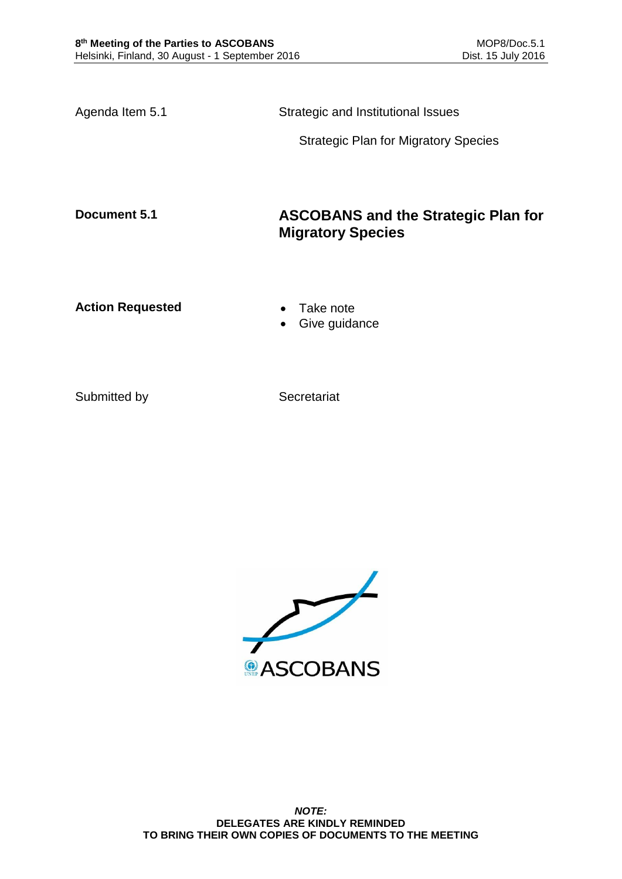Agenda Item 5.1 Strategic and Institutional Issues

Strategic Plan for Migratory Species

# **Document 5.1 ASCOBANS and the Strategic Plan for Migratory Species**

Action Requested **Canadian Exercise Action Requested Canadian Exercise** 

- 
- Give guidance

Submitted by Secretariat

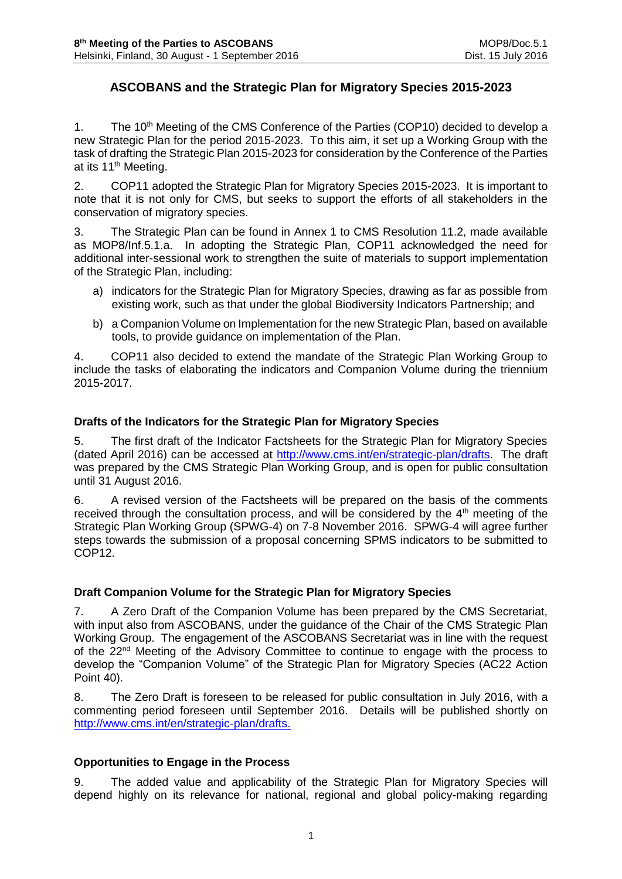## **ASCOBANS and the Strategic Plan for Migratory Species 2015-2023**

1. The 10<sup>th</sup> Meeting of the CMS Conference of the Parties (COP10) decided to develop a new Strategic Plan for the period 2015-2023. To this aim, it set up a Working Group with the task of drafting the Strategic Plan 2015-2023 for consideration by the Conference of the Parties at its 11<sup>th</sup> Meeting.

2. COP11 adopted the Strategic Plan for Migratory Species 2015-2023. It is important to note that it is not only for CMS, but seeks to support the efforts of all stakeholders in the conservation of migratory species.

3. The Strategic Plan can be found in Annex 1 to CMS Resolution 11.2, made available as MOP8/Inf.5.1.a. In adopting the Strategic Plan, COP11 acknowledged the need for additional inter-sessional work to strengthen the suite of materials to support implementation of the Strategic Plan, including:

- a) indicators for the Strategic Plan for Migratory Species, drawing as far as possible from existing work, such as that under the global Biodiversity Indicators Partnership; and
- b) a Companion Volume on Implementation for the new Strategic Plan, based on available tools, to provide guidance on implementation of the Plan.

4. COP11 also decided to extend the mandate of the Strategic Plan Working Group to include the tasks of elaborating the indicators and Companion Volume during the triennium 2015-2017.

### **Drafts of the Indicators for the Strategic Plan for Migratory Species**

5. The first draft of the Indicator Factsheets for the Strategic Plan for Migratory Species (dated April 2016) can be accessed at [http://www.cms.int/en/strategic-plan/drafts.](http://www.cms.int/en/strategic-plan/drafts) The draft was prepared by the CMS Strategic Plan Working Group, and is open for public consultation until 31 August 2016.

6. A revised version of the Factsheets will be prepared on the basis of the comments received through the consultation process, and will be considered by the  $4<sup>th</sup>$  meeting of the Strategic Plan Working Group (SPWG-4) on 7-8 November 2016. SPWG-4 will agree further steps towards the submission of a proposal concerning SPMS indicators to be submitted to COP12.

#### **Draft Companion Volume for the Strategic Plan for Migratory Species**

7. A Zero Draft of the Companion Volume has been prepared by the CMS Secretariat, with input also from ASCOBANS, under the guidance of the Chair of the CMS Strategic Plan Working Group. The engagement of the ASCOBANS Secretariat was in line with the request of the 22<sup>nd</sup> Meeting of the Advisory Committee to continue to engage with the process to develop the "Companion Volume" of the Strategic Plan for Migratory Species (AC22 Action Point 40).

8. The Zero Draft is foreseen to be released for public consultation in July 2016, with a commenting period foreseen until September 2016. Details will be published shortly on [http://www.cms.int/en/strategic-plan/drafts.](http://www.cms.int/en/strategic-plan/drafts)

## **Opportunities to Engage in the Process**

9. The added value and applicability of the Strategic Plan for Migratory Species will depend highly on its relevance for national, regional and global policy-making regarding